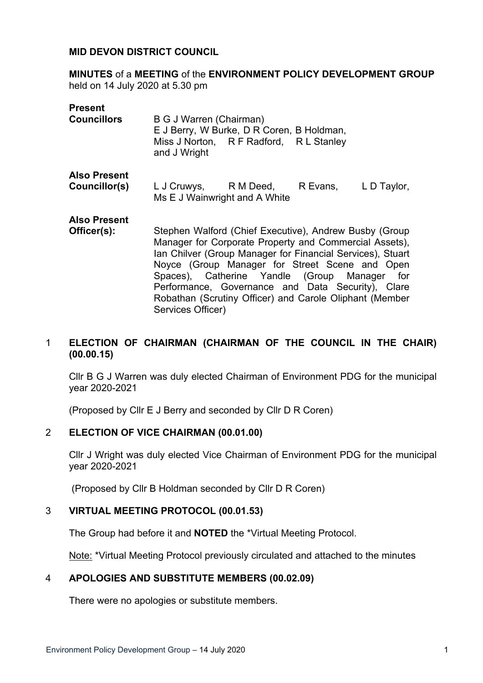#### **MID DEVON DISTRICT COUNCIL**

**MINUTES** of a **MEETING** of the **ENVIRONMENT POLICY DEVELOPMENT GROUP** held on 14 July 2020 at 5.30 pm

| <b>Present</b>                       |                                                                                                                                                                                |                                                                                      |          |             |
|--------------------------------------|--------------------------------------------------------------------------------------------------------------------------------------------------------------------------------|--------------------------------------------------------------------------------------|----------|-------------|
| <b>Councillors</b>                   | B G J Warren (Chairman)<br>and J Wright                                                                                                                                        | E J Berry, W Burke, D R Coren, B Holdman,<br>Miss J Norton, R F Radford, R L Stanley |          |             |
| <b>Also Present</b><br>Councillor(s) |                                                                                                                                                                                | L J Cruwys, R M Deed,<br>Ms E J Wainwright and A White                               | R Evans, | L D Taylor, |
| <b>Also Present</b><br>Officer(s):   | Stephen Walford (Chief Executive), Andrew Busby (Group<br>Manager for Corporate Property and Commercial Assets),<br>Ian Chilver (Group Manager for Financial Services), Stuart |                                                                                      |          |             |

# 1 **ELECTION OF CHAIRMAN (CHAIRMAN OF THE COUNCIL IN THE CHAIR) (00.00.15)**

Cllr B G J Warren was duly elected Chairman of Environment PDG for the municipal year 2020-2021

Noyce (Group Manager for Street Scene and Open Spaces), Catherine Yandle (Group Manager for Performance, Governance and Data Security), Clare Robathan (Scrutiny Officer) and Carole Oliphant (Member

(Proposed by Cllr E J Berry and seconded by Cllr D R Coren)

Services Officer)

#### 2 **ELECTION OF VICE CHAIRMAN (00.01.00)**

Cllr J Wright was duly elected Vice Chairman of Environment PDG for the municipal year 2020-2021

(Proposed by Cllr B Holdman seconded by Cllr D R Coren)

### 3 **VIRTUAL MEETING PROTOCOL (00.01.53)**

The Group had before it and **NOTED** the \*Virtual Meeting Protocol.

Note: \*Virtual Meeting Protocol previously circulated and attached to the minutes

#### 4 **APOLOGIES AND SUBSTITUTE MEMBERS (00.02.09)**

There were no apologies or substitute members.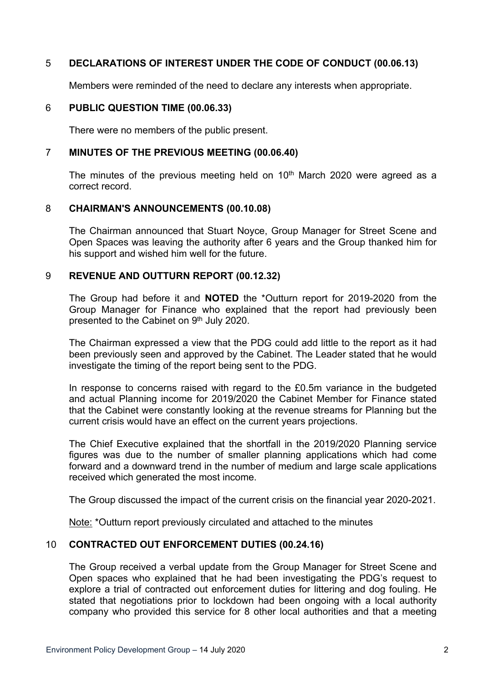# 5 **DECLARATIONS OF INTEREST UNDER THE CODE OF CONDUCT (00.06.13)**

Members were reminded of the need to declare any interests when appropriate.

### 6 **PUBLIC QUESTION TIME (00.06.33)**

There were no members of the public present.

#### 7 **MINUTES OF THE PREVIOUS MEETING (00.06.40)**

The minutes of the previous meeting held on  $10<sup>th</sup>$  March 2020 were agreed as a correct record.

### 8 **CHAIRMAN'S ANNOUNCEMENTS (00.10.08)**

The Chairman announced that Stuart Noyce, Group Manager for Street Scene and Open Spaces was leaving the authority after 6 years and the Group thanked him for his support and wished him well for the future.

### 9 **REVENUE AND OUTTURN REPORT (00.12.32)**

The Group had before it and **NOTED** the \*Outturn report for 2019-2020 from the Group Manager for Finance who explained that the report had previously been presented to the Cabinet on 9<sup>th</sup> July 2020.

The Chairman expressed a view that the PDG could add little to the report as it had been previously seen and approved by the Cabinet. The Leader stated that he would investigate the timing of the report being sent to the PDG.

In response to concerns raised with regard to the £0.5m variance in the budgeted and actual Planning income for 2019/2020 the Cabinet Member for Finance stated that the Cabinet were constantly looking at the revenue streams for Planning but the current crisis would have an effect on the current years projections.

The Chief Executive explained that the shortfall in the 2019/2020 Planning service figures was due to the number of smaller planning applications which had come forward and a downward trend in the number of medium and large scale applications received which generated the most income.

The Group discussed the impact of the current crisis on the financial year 2020-2021.

Note: \*Outturn report previously circulated and attached to the minutes

### 10 **CONTRACTED OUT ENFORCEMENT DUTIES (00.24.16)**

The Group received a verbal update from the Group Manager for Street Scene and Open spaces who explained that he had been investigating the PDG's request to explore a trial of contracted out enforcement duties for littering and dog fouling. He stated that negotiations prior to lockdown had been ongoing with a local authority company who provided this service for 8 other local authorities and that a meeting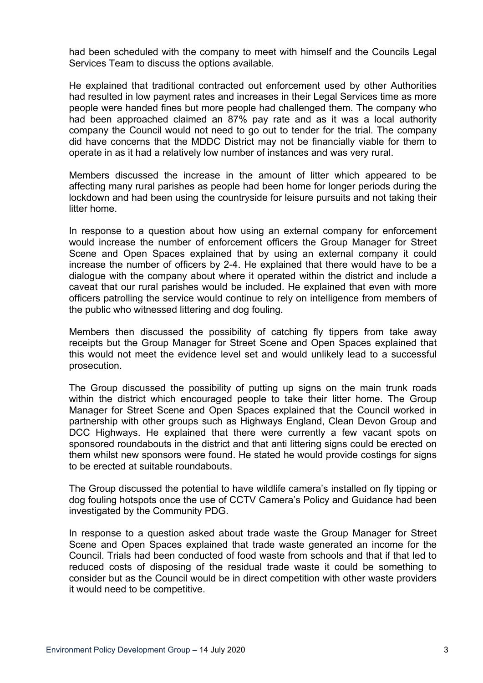had been scheduled with the company to meet with himself and the Councils Legal Services Team to discuss the options available.

He explained that traditional contracted out enforcement used by other Authorities had resulted in low payment rates and increases in their Legal Services time as more people were handed fines but more people had challenged them. The company who had been approached claimed an 87% pay rate and as it was a local authority company the Council would not need to go out to tender for the trial. The company did have concerns that the MDDC District may not be financially viable for them to operate in as it had a relatively low number of instances and was very rural.

Members discussed the increase in the amount of litter which appeared to be affecting many rural parishes as people had been home for longer periods during the lockdown and had been using the countryside for leisure pursuits and not taking their litter home.

In response to a question about how using an external company for enforcement would increase the number of enforcement officers the Group Manager for Street Scene and Open Spaces explained that by using an external company it could increase the number of officers by 2-4. He explained that there would have to be a dialogue with the company about where it operated within the district and include a caveat that our rural parishes would be included. He explained that even with more officers patrolling the service would continue to rely on intelligence from members of the public who witnessed littering and dog fouling.

Members then discussed the possibility of catching fly tippers from take away receipts but the Group Manager for Street Scene and Open Spaces explained that this would not meet the evidence level set and would unlikely lead to a successful prosecution.

The Group discussed the possibility of putting up signs on the main trunk roads within the district which encouraged people to take their litter home. The Group Manager for Street Scene and Open Spaces explained that the Council worked in partnership with other groups such as Highways England, Clean Devon Group and DCC Highways. He explained that there were currently a few vacant spots on sponsored roundabouts in the district and that anti littering signs could be erected on them whilst new sponsors were found. He stated he would provide costings for signs to be erected at suitable roundabouts.

The Group discussed the potential to have wildlife camera's installed on fly tipping or dog fouling hotspots once the use of CCTV Camera's Policy and Guidance had been investigated by the Community PDG.

In response to a question asked about trade waste the Group Manager for Street Scene and Open Spaces explained that trade waste generated an income for the Council. Trials had been conducted of food waste from schools and that if that led to reduced costs of disposing of the residual trade waste it could be something to consider but as the Council would be in direct competition with other waste providers it would need to be competitive.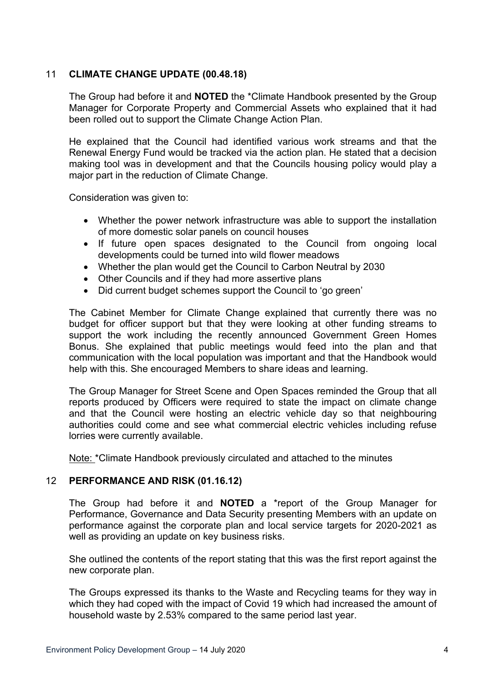## 11 **CLIMATE CHANGE UPDATE (00.48.18)**

The Group had before it and **NOTED** the \*Climate Handbook presented by the Group Manager for Corporate Property and Commercial Assets who explained that it had been rolled out to support the Climate Change Action Plan.

He explained that the Council had identified various work streams and that the Renewal Energy Fund would be tracked via the action plan. He stated that a decision making tool was in development and that the Councils housing policy would play a major part in the reduction of Climate Change.

Consideration was given to:

- Whether the power network infrastructure was able to support the installation of more domestic solar panels on council houses
- If future open spaces designated to the Council from ongoing local developments could be turned into wild flower meadows
- Whether the plan would get the Council to Carbon Neutral by 2030
- Other Councils and if they had more assertive plans
- Did current budget schemes support the Council to 'go green'

The Cabinet Member for Climate Change explained that currently there was no budget for officer support but that they were looking at other funding streams to support the work including the recently announced Government Green Homes Bonus. She explained that public meetings would feed into the plan and that communication with the local population was important and that the Handbook would help with this. She encouraged Members to share ideas and learning.

The Group Manager for Street Scene and Open Spaces reminded the Group that all reports produced by Officers were required to state the impact on climate change and that the Council were hosting an electric vehicle day so that neighbouring authorities could come and see what commercial electric vehicles including refuse lorries were currently available.

Note: \*Climate Handbook previously circulated and attached to the minutes

### 12 **PERFORMANCE AND RISK (01.16.12)**

The Group had before it and **NOTED** a \*report of the Group Manager for Performance, Governance and Data Security presenting Members with an update on performance against the corporate plan and local service targets for 2020-2021 as well as providing an update on key business risks.

She outlined the contents of the report stating that this was the first report against the new corporate plan.

The Groups expressed its thanks to the Waste and Recycling teams for they way in which they had coped with the impact of Covid 19 which had increased the amount of household waste by 2.53% compared to the same period last year.